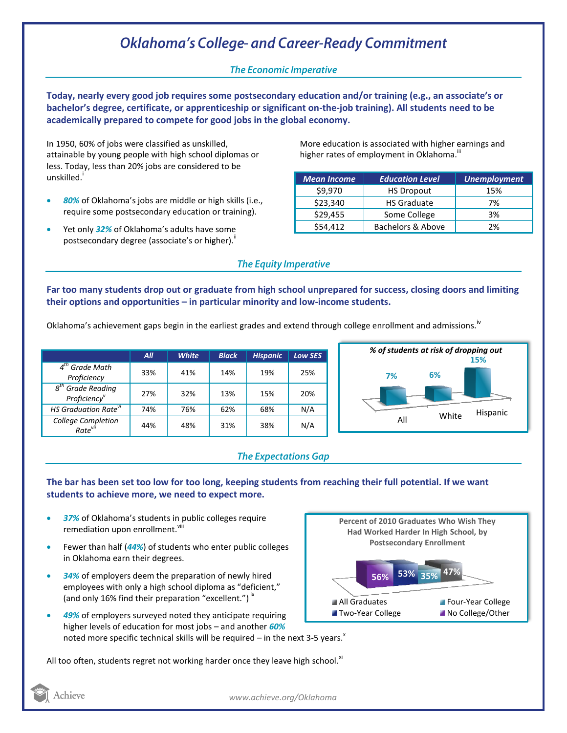# **Oklahoma's College- and Career-Ready Commitment**

## **The Economic Imperative**

**Today, nearly every good job requires some postsecondary education and/or training (e.g., an associate's or bachelor's degree, certificate, or apprenticeship or significant on-the-job training). All students need to be academically prepared to compete for good jobs in the global economy.**

In 1950, 60% of jobs were classified as unskilled, attainable by young people with high school diplomas or less. Today, less than 20% jobs are considered to be unskilled.<sup>'</sup>

- *80%* of Oklahoma's jobs are middle or high skills (i.e., require some postsecondary education or training).
- Yet only *32%* of Oklahoma's adults have some postsecondary degree (associate's or higher). $"$

More education is associated with higher earnings and higher rates of employment in Oklahoma.<sup>""</sup>

| <b>Mean Income</b> | <b>Education Level</b> | <b>Unemployment</b> |
|--------------------|------------------------|---------------------|
| \$9,970            | <b>HS Dropout</b>      | 15%                 |
| \$23,340           | <b>HS Graduate</b>     | 7%                  |
| \$29,455           | Some College           | 3%                  |
| \$54,412           | Bachelors & Above      | 2%                  |

### **The Equity Imperative**

**Far too many students drop out or graduate from high school unprepared for success, closing doors and limiting their options and opportunities – in particular minority and low-income students.** 

Oklahoma's achievement gaps begin in the earliest grades and extend through college enrollment and admissions.<sup>iv</sup>

|                                                 | All | <b>White</b> | <b>Black</b> | <b>Hispanic</b> | <b>Low SES</b> |
|-------------------------------------------------|-----|--------------|--------------|-----------------|----------------|
| $4th$ Grade Math<br>Proficiency                 | 33% | 41%          | 14%          | 19%             | 25%            |
| $8th$ Grade Reading<br>Proficiency <sup>v</sup> | 27% | 32%          | 13%          | 15%             | 20%            |
| <b>HS Graduation Rate<sup>vi</sup></b>          | 74% | 76%          | 62%          | 68%             | N/A            |
| College Completion<br>Rate <sup>vii</sup>       | 44% | 48%          | 31%          | 38%             | N/A            |



#### **The Expectations Gap**

#### **The bar has been set too low for too long, keeping students from reaching their full potential. If we want students to achieve more, we need to expect more.**

- *37%* of Oklahoma's students in public colleges require remediation upon enrollment.<sup>viii</sup>
- Fewer than half (*44%*) of students who enter public colleges in Oklahoma earn their degrees.
- *34%* of employers deem the preparation of newly hired employees with only a high school diploma as "deficient," (and only 16% find their preparation "excellent.")<sup>ix</sup>
- *49%* of employers surveyed noted they anticipate requiring higher levels of education for most jobs – and another *60%* noted more specific technical skills will be required – in the next 3-5 years.<sup>x</sup>

**47% 56% 53% 35% Percent of 2010 Graduates Who Wish They Had Worked Harder In High School, by Postsecondary Enrollment** All Graduates **Four-Year College** ■ Two-Year College No College/Other

All too often, students regret not working harder once they leave high school. $x$ <sup>1</sup>



*www.achieve.org/Oklahoma*